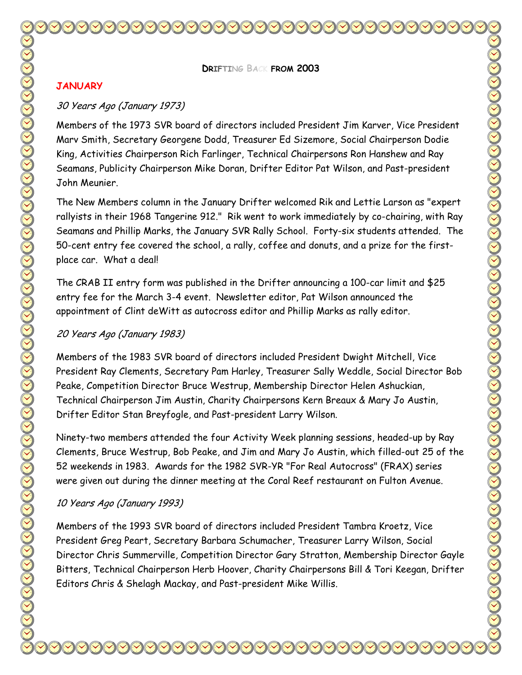**DRIFTING BACK FROM 2003** 

#### **JANUARY**

#### 30 Years Ago (January 1973)

Members of the 1973 SVR board of directors included President Jim Karver, Vice President Marv Smith, Secretary Georgene Dodd, Treasurer Ed Sizemore, Social Chairperson Dodie King, Activities Chairperson Rich Farlinger, Technical Chairpersons Ron Hanshew and Ray Seamans, Publicity Chairperson Mike Doran, Drifter Editor Pat Wilson, and Past-president John Meunier.

The New Members column in the January Drifter welcomed Rik and Lettie Larson as "expert rallyists in their 1968 Tangerine 912." Rik went to work immediately by co-chairing, with Ray Seamans and Phillip Marks, the January SVR Rally School. Forty-six students attended. The 50-cent entry fee covered the school, a rally, coffee and donuts, and a prize for the firstplace car. What a deal!

The CRAB II entry form was published in the Drifter announcing a 100-car limit and \$25 entry fee for the March 3-4 event. Newsletter editor, Pat Wilson announced the appointment of Clint deWitt as autocross editor and Phillip Marks as rally editor.

#### 20 Years Ago (January 1983)

Members of the 1983 SVR board of directors included President Dwight Mitchell, Vice President Ray Clements, Secretary Pam Harley, Treasurer Sally Weddle, Social Director Bob Peake, Competition Director Bruce Westrup, Membership Director Helen Ashuckian, Technical Chairperson Jim Austin, Charity Chairpersons Kern Breaux & Mary Jo Austin, Drifter Editor Stan Breyfogle, and Past-president Larry Wilson.

Ninety-two members attended the four Activity Week planning sessions, headed-up by Ray Clements, Bruce Westrup, Bob Peake, and Jim and Mary Jo Austin, which filled-out 25 of the 52 weekends in 1983. Awards for the 1982 SVR-YR "For Real Autocross" (FRAX) series were given out during the dinner meeting at the Coral Reef restaurant on Fulton Avenue.

### 10 Years Ago (January 1993)

Members of the 1993 SVR board of directors included President Tambra Kroetz, Vice President Greg Peart, Secretary Barbara Schumacher, Treasurer Larry Wilson, Social Director Chris Summerville, Competition Director Gary Stratton, Membership Director Gayle Bitters, Technical Chairperson Herb Hoover, Charity Chairpersons Bill & Tori Keegan, Drifter Editors Chris & Shelagh Mackay, and Past-president Mike Willis.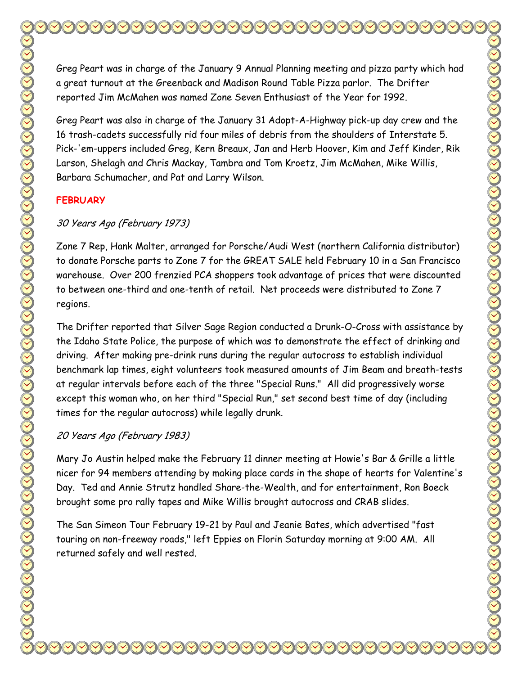Greg Peart was in charge of the January 9 Annual Planning meeting and pizza party which had a great turnout at the Greenback and Madison Round Table Pizza parlor. The Drifter reported Jim McMahen was named Zone Seven Enthusiast of the Year for 1992.

Greg Peart was also in charge of the January 31 Adopt-A-Highway pick-up day crew and the 16 trash-cadets successfully rid four miles of debris from the shoulders of Interstate 5. Pick-'em-uppers included Greg, Kern Breaux, Jan and Herb Hoover, Kim and Jeff Kinder, Rik Larson, Shelagh and Chris Mackay, Tambra and Tom Kroetz, Jim McMahen, Mike Willis, Barbara Schumacher, and Pat and Larry Wilson.

## **FEBRUARY**

## 30 Years Ago (February 1973)

Zone 7 Rep, Hank Malter, arranged for Porsche/Audi West (northern California distributor) to donate Porsche parts to Zone 7 for the GREAT SALE held February 10 in a San Francisco warehouse. Over 200 frenzied PCA shoppers took advantage of prices that were discounted to between one-third and one-tenth of retail. Net proceeds were distributed to Zone 7 regions.

The Drifter reported that Silver Sage Region conducted a Drunk-O-Cross with assistance by the Idaho State Police, the purpose of which was to demonstrate the effect of drinking and driving. After making pre-drink runs during the regular autocross to establish individual benchmark lap times, eight volunteers took measured amounts of Jim Beam and breath-tests at regular intervals before each of the three "Special Runs." All did progressively worse except this woman who, on her third "Special Run," set second best time of day (including times for the regular autocross) while legally drunk.

## 20 Years Ago (February 1983)

Mary Jo Austin helped make the February 11 dinner meeting at Howie's Bar & Grille a little nicer for 94 members attending by making place cards in the shape of hearts for Valentine's Day. Ted and Annie Strutz handled Share-the-Wealth, and for entertainment, Ron Boeck brought some pro rally tapes and Mike Willis brought autocross and CRAB slides.

The San Simeon Tour February 19-21 by Paul and Jeanie Bates, which advertised "fast touring on non-freeway roads," left Eppies on Florin Saturday morning at 9:00 AM. All returned safely and well rested.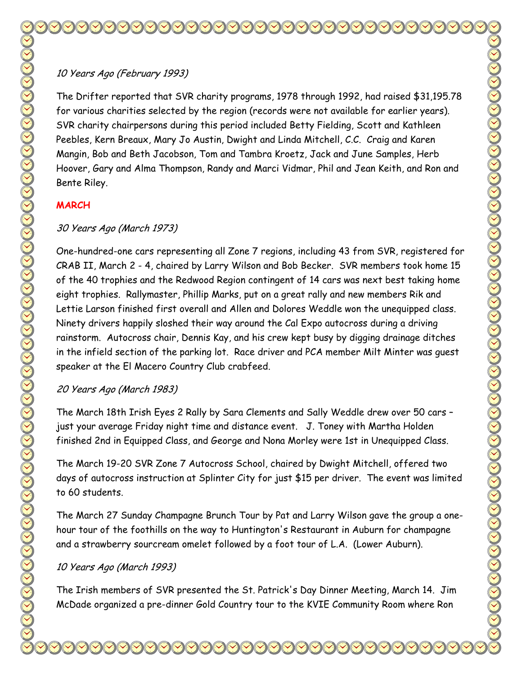# 10 Years Ago (February 1993)

The Drifter reported that SVR charity programs, 1978 through 1992, had raised \$31,195.78 for various charities selected by the region (records were not available for earlier years). SVR charity chairpersons during this period included Betty Fielding, Scott and Kathleen Peebles, Kern Breaux, Mary Jo Austin, Dwight and Linda Mitchell, C.C. Craig and Karen Mangin, Bob and Beth Jacobson, Tom and Tambra Kroetz, Jack and June Samples, Herb Hoover, Gary and Alma Thompson, Randy and Marci Vidmar, Phil and Jean Keith, and Ron and Bente Riley.

## **MARCH**

# 30 Years Ago (March 1973)

One-hundred-one cars representing all Zone 7 regions, including 43 from SVR, registered for CRAB II, March 2 - 4, chaired by Larry Wilson and Bob Becker. SVR members took home 15 of the 40 trophies and the Redwood Region contingent of 14 cars was next best taking home eight trophies. Rallymaster, Phillip Marks, put on a great rally and new members Rik and Lettie Larson finished first overall and Allen and Dolores Weddle won the unequipped class. Ninety drivers happily sloshed their way around the Cal Expo autocross during a driving rainstorm. Autocross chair, Dennis Kay, and his crew kept busy by digging drainage ditches in the infield section of the parking lot. Race driver and PCA member Milt Minter was guest speaker at the El Macero Country Club crabfeed.

## 20 Years Ago (March 1983)

The March 18th Irish Eyes 2 Rally by Sara Clements and Sally Weddle drew over 50 cars – just your average Friday night time and distance event. J. Toney with Martha Holden finished 2nd in Equipped Class, and George and Nona Morley were 1st in Unequipped Class.

The March 19-20 SVR Zone 7 Autocross School, chaired by Dwight Mitchell, offered two days of autocross instruction at Splinter City for just \$15 per driver. The event was limited to 60 students.

The March 27 Sunday Champagne Brunch Tour by Pat and Larry Wilson gave the group a onehour tour of the foothills on the way to Huntington's Restaurant in Auburn for champagne and a strawberry sourcream omelet followed by a foot tour of L.A. (Lower Auburn).

## 10 Years Ago (March 1993)

The Irish members of SVR presented the St. Patrick's Day Dinner Meeting, March 14. Jim McDade organized a pre-dinner Gold Country tour to the KVIE Community Room where Ron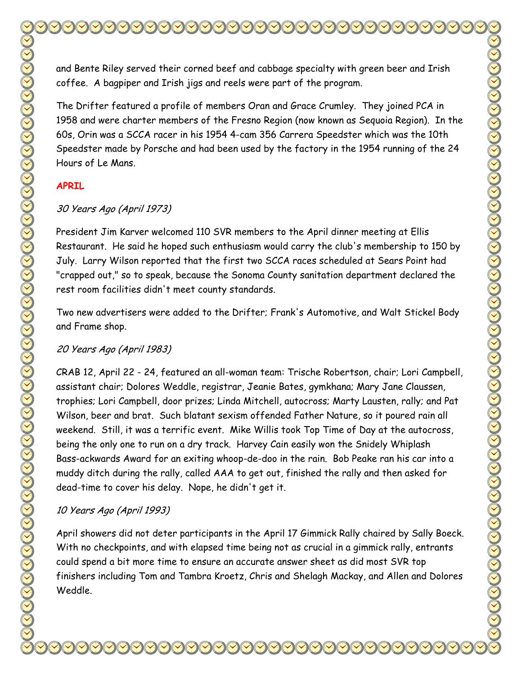and Bente Riley served their corned beef and cabbage specialty with green beer and Irish coffee. A bagpiper and Irish jigs and reels were part of the program.

The Drifter featured a profile of members Oran and Grace Crumley. They joined PCA in 1958 and were charter members of the Fresno Region (now known as Sequoia Region). In the 60s, Orin was a SCCA racer in his 1954 4-cam 356 Carrera Speedster which was the 10th Speedster made by Porsche and had been used by the factory in the 1954 running of the 24 Hours of Le Mans.

## **APRIL**

## 30 Years Ago (April 1973)

President Jim Karver welcomed 110 SVR members to the April dinner meeting at Ellis Restaurant. He said he hoped such enthusiasm would carry the club's membership to 150 by July. Larry Wilson reported that the first two SCCA races scheduled at Sears Point had "crapped out," so to speak, because the Sonoma County sanitation department declared the rest room facilities didn't meet county standards.

Two new advertisers were added to the Drifter; Frank's Automotive, and Walt Stickel Body and Frame shop.

# 20 Years Ago (April 1983)

CRAB 12, April 22 - 24, featured an all-woman team: Trische Robertson, chair; Lori Campbell, assistant chair; Dolores Weddle, registrar, Jeanie Bates, gymkhana; Mary Jane Claussen, trophies; Lori Campbell, door prizes; Linda Mitchell, autocross; Marty Lausten, rally; and Pat Wilson, beer and brat. Such blatant sexism offended Father Nature, so it poured rain all weekend. Still, it was a terrific event. Mike Willis took Top Time of Day at the autocross, being the only one to run on a dry track. Harvey Cain easily won the Snidely Whiplash Bass-ackwards Award for an exiting whoop-de-doo in the rain. Bob Peake ran his car into a muddy ditch during the rally, called AAA to get out, finished the rally and then asked for dead-time to cover his delay. Nope, he didn't get it.

# 10 Years Ago (April 1993)

April showers did not deter participants in the April 17 Gimmick Rally chaired by Sally Boeck. With no checkpoints, and with elapsed time being not as crucial in a gimmick rally, entrants could spend a bit more time to ensure an accurate answer sheet as did most SVR top finishers including Tom and Tambra Kroetz, Chris and Shelagh Mackay, and Allen and Dolores Weddle.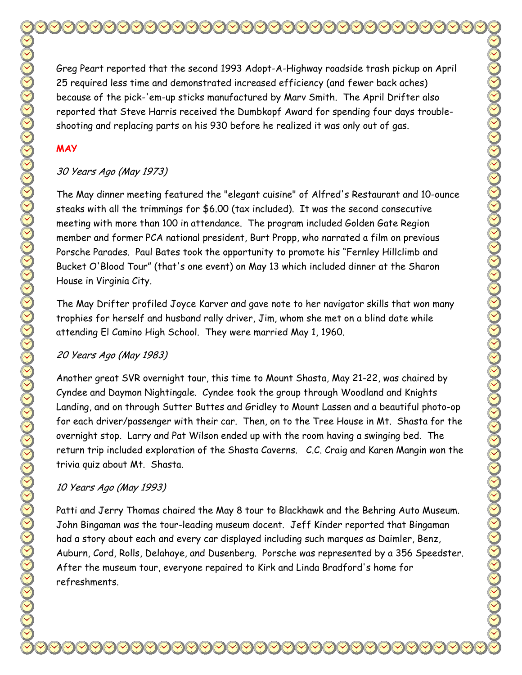Greg Peart reported that the second 1993 Adopt-A-Highway roadside trash pickup on April 25 required less time and demonstrated increased efficiency (and fewer back aches) because of the pick-'em-up sticks manufactured by Marv Smith. The April Drifter also reported that Steve Harris received the Dumbkopf Award for spending four days troubleshooting and replacing parts on his 930 before he realized it was only out of gas.

## **MAY**

## 30 Years Ago (May 1973)

The May dinner meeting featured the "elegant cuisine" of Alfred's Restaurant and 10-ounce steaks with all the trimmings for \$6.00 (tax included). It was the second consecutive meeting with more than 100 in attendance. The program included Golden Gate Region member and former PCA national president, Burt Propp, who narrated a film on previous Porsche Parades. Paul Bates took the opportunity to promote his "Fernley Hillclimb and Bucket O'Blood Tour" (that's one event) on May 13 which included dinner at the Sharon House in Virginia City.

The May Drifter profiled Joyce Karver and gave note to her navigator skills that won many trophies for herself and husband rally driver, Jim, whom she met on a blind date while attending El Camino High School. They were married May 1, 1960.

## 20 Years Ago (May 1983)

Another great SVR overnight tour, this time to Mount Shasta, May 21-22, was chaired by Cyndee and Daymon Nightingale. Cyndee took the group through Woodland and Knights Landing, and on through Sutter Buttes and Gridley to Mount Lassen and a beautiful photo-op for each driver/passenger with their car. Then, on to the Tree House in Mt. Shasta for the overnight stop. Larry and Pat Wilson ended up with the room having a swinging bed. The return trip included exploration of the Shasta Caverns. C.C. Craig and Karen Mangin won the trivia quiz about Mt. Shasta.

## 10 Years Ago (May 1993)

Patti and Jerry Thomas chaired the May 8 tour to Blackhawk and the Behring Auto Museum. John Bingaman was the tour-leading museum docent. Jeff Kinder reported that Bingaman had a story about each and every car displayed including such marques as Daimler, Benz, Auburn, Cord, Rolls, Delahaye, and Dusenberg. Porsche was represented by a 356 Speedster. After the museum tour, everyone repaired to Kirk and Linda Bradford's home for refreshments.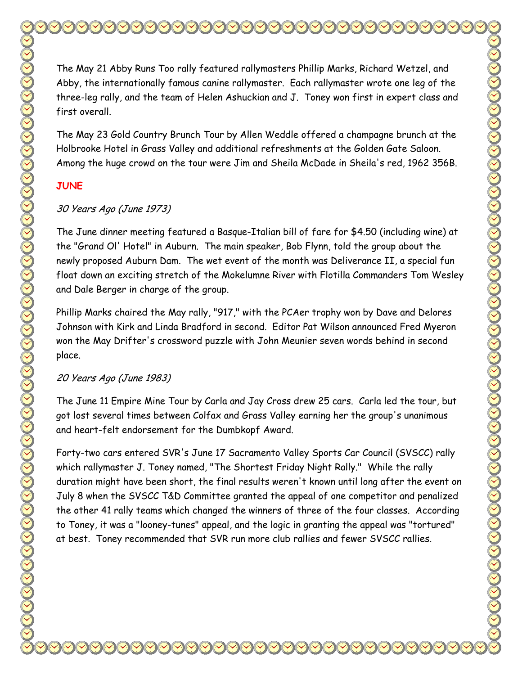The May 21 Abby Runs Too rally featured rallymasters Phillip Marks, Richard Wetzel, and Abby, the internationally famous canine rallymaster. Each rallymaster wrote one leg of the three-leg rally, and the team of Helen Ashuckian and J. Toney won first in expert class and first overall. The May 23 Gold Country Brunch Tour by Allen Weddle offered a champagne brunch at the Holbrooke Hotel in Grass Valley and additional refreshments at the Golden Gate Saloon. Among the huge crowd on the tour were Jim and Sheila McDade in Sheila's red, 1962 356B. **JUNE**  30 Years Ago (June 1973) The June dinner meeting featured a Basque-Italian bill of fare for \$4.50 (including wine) at the "Grand Ol' Hotel" in Auburn. The main speaker, Bob Flynn, told the group about the newly proposed Auburn Dam. The wet event of the month was Deliverance II, a special fun float down an exciting stretch of the Mokelumne River with Flotilla Commanders Tom Wesley and Dale Berger in charge of the group.

Phillip Marks chaired the May rally, "917," with the PCAer trophy won by Dave and Delores Johnson with Kirk and Linda Bradford in second. Editor Pat Wilson announced Fred Myeron won the May Drifter's crossword puzzle with John Meunier seven words behind in second place.

# 20 Years Ago (June 1983)

The June 11 Empire Mine Tour by Carla and Jay Cross drew 25 cars. Carla led the tour, but got lost several times between Colfax and Grass Valley earning her the group's unanimous and heart-felt endorsement for the Dumbkopf Award.

Forty-two cars entered SVR's June 17 Sacramento Valley Sports Car Council (SVSCC) rally which rallymaster J. Toney named, "The Shortest Friday Night Rally." While the rally duration might have been short, the final results weren't known until long after the event on July 8 when the SVSCC T&D Committee granted the appeal of one competitor and penalized the other 41 rally teams which changed the winners of three of the four classes. According to Toney, it was a "looney-tunes" appeal, and the logic in granting the appeal was "tortured" at best. Toney recommended that SVR run more club rallies and fewer SVSCC rallies.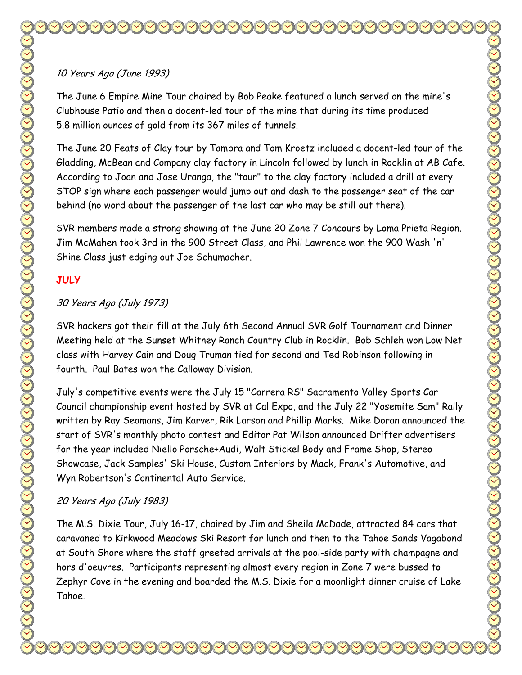The June 6 Empire Mine Tour chaired by Bob Peake featured a lunch served on the mine's Clubhouse Patio and then a docent-led tour of the mine that during its time produced 5.8 million ounces of gold from its 367 miles of tunnels.

The June 20 Feats of Clay tour by Tambra and Tom Kroetz included a docent-led tour of the Gladding, McBean and Company clay factory in Lincoln followed by lunch in Rocklin at AB Cafe. According to Joan and Jose Uranga, the "tour" to the clay factory included a drill at every STOP sign where each passenger would jump out and dash to the passenger seat of the car behind (no word about the passenger of the last car who may be still out there).

SVR members made a strong showing at the June 20 Zone 7 Concours by Loma Prieta Region. Jim McMahen took 3rd in the 900 Street Class, and Phil Lawrence won the 900 Wash 'n' Shine Class just edging out Joe Schumacher.

# **JULY**

# 30 Years Ago (July 1973)

SVR hackers got their fill at the July 6th Second Annual SVR Golf Tournament and Dinner Meeting held at the Sunset Whitney Ranch Country Club in Rocklin. Bob Schleh won Low Net class with Harvey Cain and Doug Truman tied for second and Ted Robinson following in fourth. Paul Bates won the Calloway Division.

July's competitive events were the July 15 "Carrera RS" Sacramento Valley Sports Car Council championship event hosted by SVR at Cal Expo, and the July 22 "Yosemite Sam" Rally written by Ray Seamans, Jim Karver, Rik Larson and Phillip Marks. Mike Doran announced the start of SVR's monthly photo contest and Editor Pat Wilson announced Drifter advertisers for the year included Niello Porsche+Audi, Walt Stickel Body and Frame Shop, Stereo Showcase, Jack Samples' Ski House, Custom Interiors by Mack, Frank's Automotive, and Wyn Robertson's Continental Auto Service.

# 20 Years Ago (July 1983)

The M.S. Dixie Tour, July 16-17, chaired by Jim and Sheila McDade, attracted 84 cars that caravaned to Kirkwood Meadows Ski Resort for lunch and then to the Tahoe Sands Vagabond at South Shore where the staff greeted arrivals at the pool-side party with champagne and hors d'oeuvres. Participants representing almost every region in Zone 7 were bussed to Zephyr Cove in the evening and boarded the M.S. Dixie for a moonlight dinner cruise of Lake Tahoe.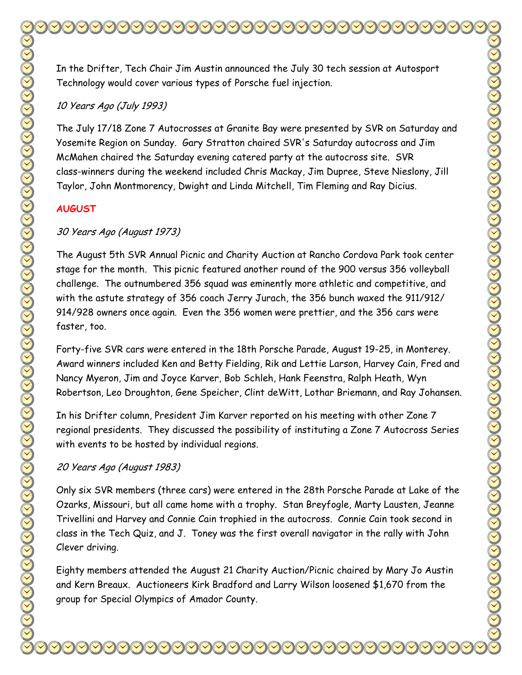In the Drifter, Tech Chair Jim Austin announced the July 30 tech session at Autosport Technology would cover various types of Porsche fuel injection.

#### 10 Years Ago (July 1993)

The July 17/18 Zone 7 Autocrosses at Granite Bay were presented by SVR on Saturday and Yosemite Region on Sunday. Gary Stratton chaired SVR's Saturday autocross and Jim McMahen chaired the Saturday evening catered party at the autocross site. SVR class-winners during the weekend included Chris Mackay, Jim Dupree, Steve Nieslony, Jill Taylor, John Montmorency, Dwight and Linda Mitchell, Tim Fleming and Ray Dicius.

#### **AUGUST**

#### 30 Years Ago (August 1973)

The August 5th SVR Annual Picnic and Charity Auction at Rancho Cordova Park took center stage for the month. This picnic featured another round of the 900 versus 356 volleyball challenge. The outnumbered 356 squad was eminently more athletic and competitive, and with the astute strategy of 356 coach Jerry Jurach, the 356 bunch waxed the 911/912/ 914/928 owners once again. Even the 356 women were prettier, and the 356 cars were faster, too.

Forty-five SVR cars were entered in the 18th Porsche Parade, August 19-25, in Monterey. Award winners included Ken and Betty Fielding, Rik and Lettie Larson, Harvey Cain, Fred and Nancy Myeron, Jim and Joyce Karver, Bob Schleh, Hank Feenstra, Ralph Heath, Wyn Robertson, Leo Droughton, Gene Speicher, Clint deWitt, Lothar Briemann, and Ray Johansen.

In his Drifter column, President Jim Karver reported on his meeting with other Zone 7 regional presidents. They discussed the possibility of instituting a Zone 7 Autocross Series with events to be hosted by individual regions.

#### 20 Years Ago (August 1983)

Only six SVR members (three cars) were entered in the 28th Porsche Parade at Lake of the Ozarks, Missouri, but all came home with a trophy. Stan Breyfogle, Marty Lausten, Jeanne Trivellini and Harvey and Connie Cain trophied in the autocross. Connie Cain took second in class in the Tech Quiz, and J. Toney was the first overall navigator in the rally with John Clever driving.

Eighty members attended the August 21 Charity Auction/Picnic chaired by Mary Jo Austin and Kern Breaux. Auctioneers Kirk Bradford and Larry Wilson loosened \$1,670 from the group for Special Olympics of Amador County.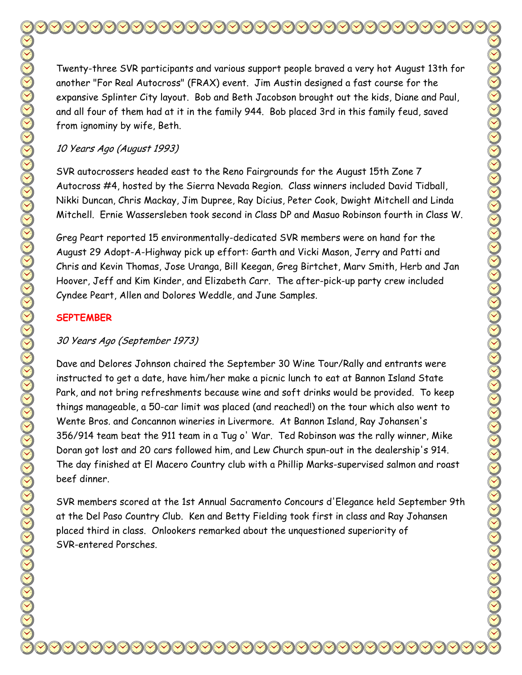Twenty-three SVR participants and various support people braved a very hot August 13th for another "For Real Autocross" (FRAX) event. Jim Austin designed a fast course for the expansive Splinter City layout. Bob and Beth Jacobson brought out the kids, Diane and Paul, and all four of them had at it in the family 944. Bob placed 3rd in this family feud, saved from ignominy by wife, Beth.

#### 10 Years Ago (August 1993)

SVR autocrossers headed east to the Reno Fairgrounds for the August 15th Zone 7 Autocross #4, hosted by the Sierra Nevada Region. Class winners included David Tidball, Nikki Duncan, Chris Mackay, Jim Dupree, Ray Dicius, Peter Cook, Dwight Mitchell and Linda Mitchell. Ernie Wassersleben took second in Class DP and Masuo Robinson fourth in Class W.

Greg Peart reported 15 environmentally-dedicated SVR members were on hand for the August 29 Adopt-A-Highway pick up effort: Garth and Vicki Mason, Jerry and Patti and Chris and Kevin Thomas, Jose Uranga, Bill Keegan, Greg Birtchet, Marv Smith, Herb and Jan Hoover, Jeff and Kim Kinder, and Elizabeth Carr. The after-pick-up party crew included Cyndee Peart, Allen and Dolores Weddle, and June Samples.

#### **SEPTEMBER**

### 30 Years Ago (September 1973)

Dave and Delores Johnson chaired the September 30 Wine Tour/Rally and entrants were instructed to get a date, have him/her make a picnic lunch to eat at Bannon Island State Park, and not bring refreshments because wine and soft drinks would be provided. To keep things manageable, a 50-car limit was placed (and reached!) on the tour which also went to Wente Bros. and Concannon wineries in Livermore. At Bannon Island, Ray Johansen's 356/914 team beat the 911 team in a Tug o' War. Ted Robinson was the rally winner, Mike Doran got lost and 20 cars followed him, and Lew Church spun-out in the dealership's 914. The day finished at El Macero Country club with a Phillip Marks-supervised salmon and roast beef dinner.

SVR members scored at the 1st Annual Sacramento Concours d'Elegance held September 9th at the Del Paso Country Club. Ken and Betty Fielding took first in class and Ray Johansen placed third in class. Onlookers remarked about the unquestioned superiority of SVR-entered Porsches.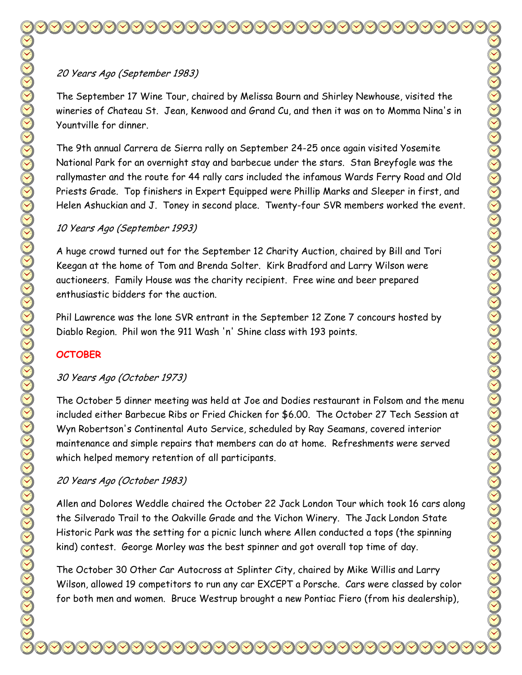The September 17 Wine Tour, chaired by Melissa Bourn and Shirley Newhouse, visited the wineries of Chateau St. Jean, Kenwood and Grand Cu, and then it was on to Momma Nina's in Yountville for dinner.

The 9th annual Carrera de Sierra rally on September 24-25 once again visited Yosemite National Park for an overnight stay and barbecue under the stars. Stan Breyfogle was the rallymaster and the route for 44 rally cars included the infamous Wards Ferry Road and Old Priests Grade. Top finishers in Expert Equipped were Phillip Marks and Sleeper in first, and Helen Ashuckian and J. Toney in second place. Twenty-four SVR members worked the event.

## 10 Years Ago (September 1993)

A huge crowd turned out for the September 12 Charity Auction, chaired by Bill and Tori Keegan at the home of Tom and Brenda Solter. Kirk Bradford and Larry Wilson were auctioneers. Family House was the charity recipient. Free wine and beer prepared enthusiastic bidders for the auction.

Phil Lawrence was the lone SVR entrant in the September 12 Zone 7 concours hosted by Diablo Region. Phil won the 911 Wash 'n' Shine class with 193 points.

## **OCTOBER**

# 30 Years Ago (October 1973)

The October 5 dinner meeting was held at Joe and Dodies restaurant in Folsom and the menu included either Barbecue Ribs or Fried Chicken for \$6.00. The October 27 Tech Session at Wyn Robertson's Continental Auto Service, scheduled by Ray Seamans, covered interior maintenance and simple repairs that members can do at home. Refreshments were served which helped memory retention of all participants.

# 20 Years Ago (October 1983)

Allen and Dolores Weddle chaired the October 22 Jack London Tour which took 16 cars along the Silverado Trail to the Oakville Grade and the Vichon Winery. The Jack London State Historic Park was the setting for a picnic lunch where Allen conducted a tops (the spinning kind) contest. George Morley was the best spinner and got overall top time of day.

The October 30 Other Car Autocross at Splinter City, chaired by Mike Willis and Larry Wilson, allowed 19 competitors to run any car EXCEPT a Porsche. Cars were classed by color for both men and women. Bruce Westrup brought a new Pontiac Fiero (from his dealership),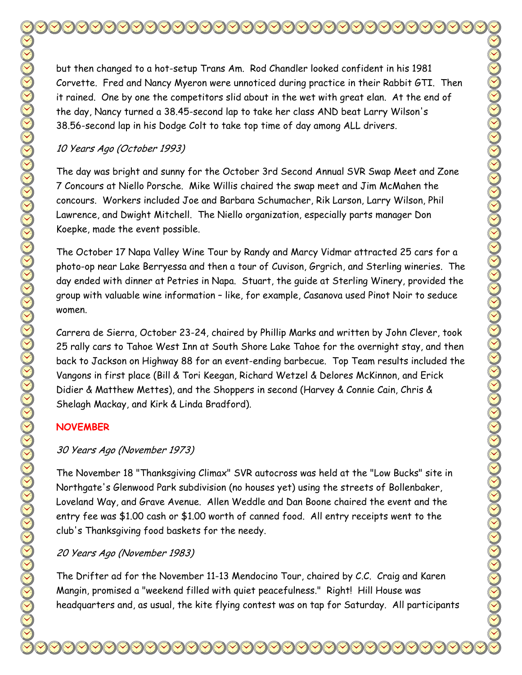but then changed to a hot-setup Trans Am. Rod Chandler looked confident in his 1981 Corvette. Fred and Nancy Myeron were unnoticed during practice in their Rabbit GTI. Then it rained. One by one the competitors slid about in the wet with great elan. At the end of the day, Nancy turned a 38.45-second lap to take her class AND beat Larry Wilson's 38.56-second lap in his Dodge Colt to take top time of day among ALL drivers.

#### 10 Years Ago (October 1993)

The day was bright and sunny for the October 3rd Second Annual SVR Swap Meet and Zone 7 Concours at Niello Porsche. Mike Willis chaired the swap meet and Jim McMahen the concours. Workers included Joe and Barbara Schumacher, Rik Larson, Larry Wilson, Phil Lawrence, and Dwight Mitchell. The Niello organization, especially parts manager Don Koepke, made the event possible.

The October 17 Napa Valley Wine Tour by Randy and Marcy Vidmar attracted 25 cars for a photo-op near Lake Berryessa and then a tour of Cuvison, Grgrich, and Sterling wineries. The day ended with dinner at Petries in Napa. Stuart, the guide at Sterling Winery, provided the group with valuable wine information – like, for example, Casanova used Pinot Noir to seduce women.

Carrera de Sierra, October 23-24, chaired by Phillip Marks and written by John Clever, took 25 rally cars to Tahoe West Inn at South Shore Lake Tahoe for the overnight stay, and then back to Jackson on Highway 88 for an event-ending barbecue. Top Team results included the Vangons in first place (Bill & Tori Keegan, Richard Wetzel & Delores McKinnon, and Erick Didier & Matthew Mettes), and the Shoppers in second (Harvey & Connie Cain, Chris & Shelagh Mackay, and Kirk & Linda Bradford).

### **NOVEMBER**

### 30 Years Ago (November 1973)

The November 18 "Thanksgiving Climax" SVR autocross was held at the "Low Bucks" site in Northgate's Glenwood Park subdivision (no houses yet) using the streets of Bollenbaker, Loveland Way, and Grave Avenue. Allen Weddle and Dan Boone chaired the event and the entry fee was \$1.00 cash or \$1.00 worth of canned food. All entry receipts went to the club's Thanksgiving food baskets for the needy.

### 20 Years Ago (November 1983)

The Drifter ad for the November 11-13 Mendocino Tour, chaired by C.C. Craig and Karen Mangin, promised a "weekend filled with quiet peacefulness." Right! Hill House was headquarters and, as usual, the kite flying contest was on tap for Saturday. All participants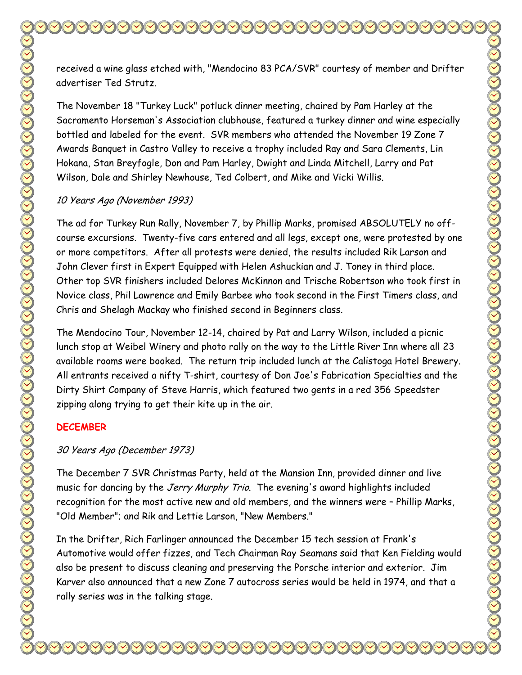received a wine glass etched with, "Mendocino 83 PCA/SVR" courtesy of member and Drifter advertiser Ted Strutz.

The November 18 "Turkey Luck" potluck dinner meeting, chaired by Pam Harley at the Sacramento Horseman's Association clubhouse, featured a turkey dinner and wine especially bottled and labeled for the event. SVR members who attended the November 19 Zone 7 Awards Banquet in Castro Valley to receive a trophy included Ray and Sara Clements, Lin Hokana, Stan Breyfogle, Don and Pam Harley, Dwight and Linda Mitchell, Larry and Pat Wilson, Dale and Shirley Newhouse, Ted Colbert, and Mike and Vicki Willis.

## 10 Years Ago (November 1993)

The ad for Turkey Run Rally, November 7, by Phillip Marks, promised ABSOLUTELY no offcourse excursions. Twenty-five cars entered and all legs, except one, were protested by one or more competitors. After all protests were denied, the results included Rik Larson and John Clever first in Expert Equipped with Helen Ashuckian and J. Toney in third place. Other top SVR finishers included Delores McKinnon and Trische Robertson who took first in Novice class, Phil Lawrence and Emily Barbee who took second in the First Timers class, and Chris and Shelagh Mackay who finished second in Beginners class.

The Mendocino Tour, November 12-14, chaired by Pat and Larry Wilson, included a picnic lunch stop at Weibel Winery and photo rally on the way to the Little River Inn where all 23 available rooms were booked. The return trip included lunch at the Calistoga Hotel Brewery. All entrants received a nifty T-shirt, courtesy of Don Joe's Fabrication Specialties and the Dirty Shirt Company of Steve Harris, which featured two gents in a red 356 Speedster zipping along trying to get their kite up in the air.

## **DECEMBER**

## 30 Years Ago (December 1973)

The December 7 SVR Christmas Party, held at the Mansion Inn, provided dinner and live music for dancing by the Jerry Murphy Trio. The evening's award highlights included recognition for the most active new and old members, and the winners were – Phillip Marks, "Old Member"; and Rik and Lettie Larson, "New Members."

In the Drifter, Rich Farlinger announced the December 15 tech session at Frank's Automotive would offer fizzes, and Tech Chairman Ray Seamans said that Ken Fielding would also be present to discuss cleaning and preserving the Porsche interior and exterior. Jim Karver also announced that a new Zone 7 autocross series would be held in 1974, and that a rally series was in the talking stage.